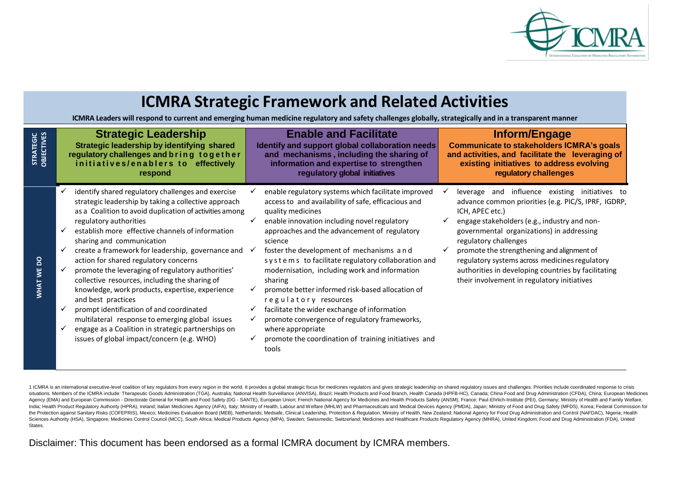

## **ICMRA Strategic Framework and Related Activities**

ICMRA Leaders will respond to current and emerging human medicine regulatory and safety challenges globally, strategically and in a transparent manner

| <b>STRATEGIC</b><br>OBJECTIVES | <b>Strategic Leadership</b>                                                                                                                                                                                                                                                                                                                                                                                                                                                                                                                                                                                                                                                                                                                                       | <b>Enable and Facilitate</b>                                                                                                                                                                                                                                                                                                                                                                                                                                                                                                                                                                                                                                                | Inform/Engage                                                                                                                                                                                                                                                                                                                                                                                                                                        |
|--------------------------------|-------------------------------------------------------------------------------------------------------------------------------------------------------------------------------------------------------------------------------------------------------------------------------------------------------------------------------------------------------------------------------------------------------------------------------------------------------------------------------------------------------------------------------------------------------------------------------------------------------------------------------------------------------------------------------------------------------------------------------------------------------------------|-----------------------------------------------------------------------------------------------------------------------------------------------------------------------------------------------------------------------------------------------------------------------------------------------------------------------------------------------------------------------------------------------------------------------------------------------------------------------------------------------------------------------------------------------------------------------------------------------------------------------------------------------------------------------------|------------------------------------------------------------------------------------------------------------------------------------------------------------------------------------------------------------------------------------------------------------------------------------------------------------------------------------------------------------------------------------------------------------------------------------------------------|
|                                | Strategic leadership by identifying shared                                                                                                                                                                                                                                                                                                                                                                                                                                                                                                                                                                                                                                                                                                                        | Identify and support global collaboration needs                                                                                                                                                                                                                                                                                                                                                                                                                                                                                                                                                                                                                             | <b>Communicate to stakeholders ICMRA's goals</b>                                                                                                                                                                                                                                                                                                                                                                                                     |
|                                | regulatory challenges and bring together                                                                                                                                                                                                                                                                                                                                                                                                                                                                                                                                                                                                                                                                                                                          | and mechanisms, including the sharing of                                                                                                                                                                                                                                                                                                                                                                                                                                                                                                                                                                                                                                    | and activities, and facilitate the leveraging of                                                                                                                                                                                                                                                                                                                                                                                                     |
|                                | initiatives/enablers to effectively                                                                                                                                                                                                                                                                                                                                                                                                                                                                                                                                                                                                                                                                                                                               | information and expertise to strengthen                                                                                                                                                                                                                                                                                                                                                                                                                                                                                                                                                                                                                                     | existing initiatives to address evolving                                                                                                                                                                                                                                                                                                                                                                                                             |
|                                | respond                                                                                                                                                                                                                                                                                                                                                                                                                                                                                                                                                                                                                                                                                                                                                           | regulatory global initiatives                                                                                                                                                                                                                                                                                                                                                                                                                                                                                                                                                                                                                                               | regulatory challenges                                                                                                                                                                                                                                                                                                                                                                                                                                |
| $\mathsf{S}$<br>WHAT WE        | identify shared regulatory challenges and exercise<br>strategic leadership by taking a collective approach<br>as a Coalition to avoid duplication of activities among<br>regulatory authorities<br>establish more effective channels of information<br>sharing and communication<br>create a framework for leadership, governance and<br>action for shared regulatory concerns<br>promote the leveraging of regulatory authorities'<br>collective resources, including the sharing of<br>knowledge, work products, expertise, experience<br>and best practices<br>prompt identification of and coordinated<br>multilateral response to emerging global issues<br>engage as a Coalition in strategic partnerships on<br>issues of global impact/concern (e.g. WHO) | enable regulatory systems which facilitate improved<br>access to and availability of safe, efficacious and<br>quality medicines<br>enable innovation including novel regulatory<br>approaches and the advancement of regulatory<br>science<br>foster the development of mechanisms and<br>systems to facilitate regulatory collaboration and<br>modernisation, including work and information<br>sharing<br>promote better informed risk-based allocation of<br>regulatory resources<br>facilitate the wider exchange of information<br>promote convergence of regulatory frameworks,<br>where appropriate<br>promote the coordination of training initiatives and<br>tools | leverage and influence existing initiatives to<br>advance common priorities (e.g. PIC/S, IPRF, IGDRP,<br>ICH, APEC etc.)<br>engage stakeholders (e.g., industry and non-<br>governmental organizations) in addressing<br>regulatory challenges<br>promote the strengthening and alignment of<br>regulatory systems across medicines regulatory<br>authorities in developing countries by facilitating<br>their involvement in regulatory initiatives |

1 ICMRA is an international executive-level coalition of key regulators from every region in the world. It provides a global strategic focus for medicines regulators and gives strategic leadership on shared regulatory issu situations. Members of the ICMRA include: Therapeutic Goods Administration (TGA), Australia; National Health Surveillance (ANVISA), Brazil; Health Products and Food Branch, Health Canada (HPFB-HC), Canada; China Food and D Agency (EMA) and European Commission - Directorate General for Health and Food Safety (DG - SANTE), European Union; French National Agency for Medicines and Health Products Safety (ANSM), France; Paul-Ehrlich-Institute (PE India; Health Product Regulatory Authority (HPRA), Ireland; Italian Medicines Agency (AIFA), Italy; Ministry of Health, Labour and Welfare (MHLW) and Pharmaceuticals and Medical Devices Agency (PMDA), Japan; Ministry of Fo the Protection against Sanitary Risks (COFEPRIS), Mexico: Medicines Evaluation Board (MEB), Netherlands: Medsafe, Clinical Leadership, Protection & Regulation, Ministry of Health, New Zealand: National Agency for Food Drug Sciences Authority (HSA), Singapore; Medicines Control Council (MCC), South Africa; Medical Products Agency (MPA), Sweden; Swissmedic, Switzerland; Medicines and Healthcare Products Requlatory Agency (MHRA), United Kingdom States.

Disclaimer: This document has been endorsed as a formal ICMRA document by ICMRA members.